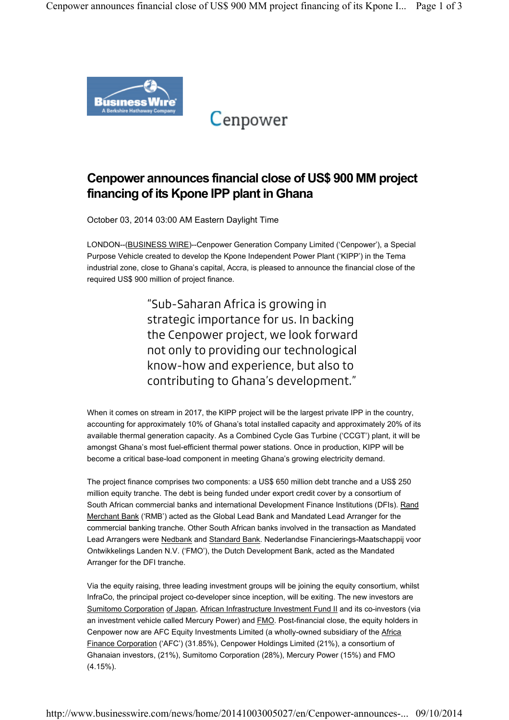

Cenpower

## Cenpower announces financial close of US\$ 900 MM project financing of its Kpone IPP plant in Ghana

October 03, 2014 03:00 AM Eastern Daylight Time

LONDON--(BUSINESS WIRE)--Cenpower Generation Company Limited ('Cenpower'), a Special Purpose Vehicle created to develop the Kpone Independent Power Plant ('KIPP') in the Tema industrial zone, close to Ghana's capital, Accra, is pleased to announce the financial close of the required US\$ 900 million of project finance.

> "Sub-Saharan Africa is growing in strategic importance for us. In backing the Cenpower project, we look forward not only to providing our technological know-how and experience, but also to contributing to Ghana's development."

When it comes on stream in 2017, the KIPP project will be the largest private IPP in the country, accounting for approximately 10% of Ghana's total installed capacity and approximately 20% of its available thermal generation capacity. As a Combined Cycle Gas Turbine ('CCGT') plant, it will be amongst Ghana's most fuel-efficient thermal power stations. Once in production, KIPP will be become a critical base-load component in meeting Ghana's growing electricity demand.

The project finance comprises two components: a US\$ 650 million debt tranche and a US\$ 250 million equity tranche. The debt is being funded under export credit cover by a consortium of South African commercial banks and international Development Finance Institutions (DFIs). Rand Merchant Bank ('RMB') acted as the Global Lead Bank and Mandated Lead Arranger for the commercial banking tranche. Other South African banks involved in the transaction as Mandated Lead Arrangers were Nedbank and Standard Bank. Nederlandse Financierings-Maatschappij voor Ontwikkelings Landen N.V. ('FMO'), the Dutch Development Bank, acted as the Mandated Arranger for the DFI tranche.

Via the equity raising, three leading investment groups will be joining the equity consortium, whilst InfraCo, the principal project co-developer since inception, will be exiting. The new investors are Sumitomo Corporation of Japan, African Infrastructure Investment Fund II and its co-investors (via an investment vehicle called Mercury Power) and **FMO**. Post-financial close, the equity holders in Cenpower now are AFC Equity Investments Limited (a wholly-owned subsidiary of the Africa Finance Corporation ('AFC') (31.85%), Cenpower Holdings Limited (21%), a consortium of Ghanaian investors, (21%), Sumitomo Corporation (28%), Mercury Power (15%) and FMO (4.15%).